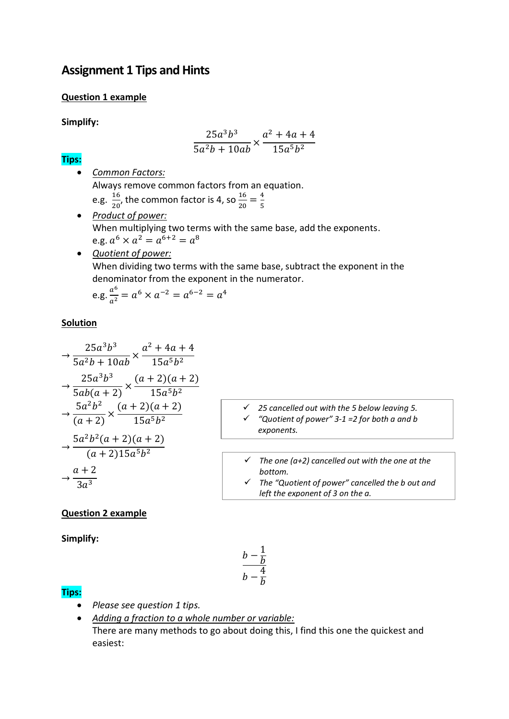# **Assignment 1 Tips and Hints**

#### **Question 1 example**

**Simplify:**

$$
\frac{25a^3b^3}{5a^2b+10ab} \times \frac{a^2+4a+4}{15a^5b^2}
$$

#### **Tips:**

- *Common Factors:* Always remove common factors from an equation. e.g.  $\frac{16}{20}$  $\frac{16}{20}$ , the common factor is 4, so  $\frac{16}{20} = \frac{4}{5}$ 5
- *Product of power:* When multiplying two terms with the same base, add the exponents. e.g.  $a^6 \times a^2 = a^{6+2} = a^8$
- *Quotient of power:* When dividing two terms with the same base, subtract the exponent in the denominator from the exponent in the numerator.

e.g. 
$$
\frac{a^6}{a^2} = a^6 \times a^{-2} = a^{6-2} = a^4
$$

## **Solution**

$$
\frac{25a^3b^3}{5a^2b + 10ab} \times \frac{a^2 + 4a + 4}{15a^5b^2}
$$
  
\n
$$
\rightarrow \frac{25a^3b^3}{5ab(a + 2)} \times \frac{(a + 2)(a + 2)}{15a^5b^2}
$$
  
\n
$$
\rightarrow \frac{5a^2b^2}{(a + 2)} \times \frac{(a + 2)(a + 2)}{15a^5b^2}
$$
  
\n
$$
\rightarrow \frac{5a^2b^2(a + 2)(a + 2)}{(a + 2)15a^5b^2}
$$
  
\n
$$
\rightarrow \frac{a + 2}{3a^3}
$$

- *25 cancelled out with the 5 below leaving 5. "Quotient of power" 3-1 =2 for both a and b exponents.*
- *The one (a+2) cancelled out with the one at the bottom.*
- *The "Quotient of power" cancelled the b out and left the exponent of 3 on the a.*

## **Question 2 example**

**Simplify:**

$$
\frac{b-\frac{1}{b}}{b-\frac{4}{b}}
$$

## **Tips:**

- *Please see question 1 tips.*
- *Adding a fraction to a whole number or variable:* There are many methods to go about doing this, I find this one the quickest and easiest: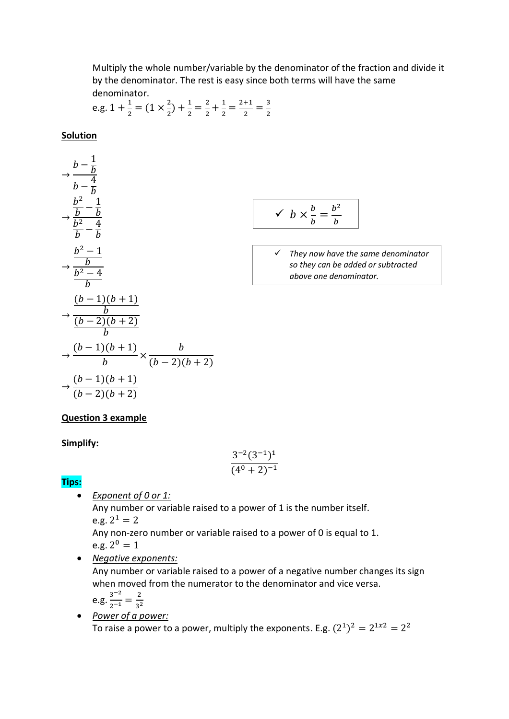Multiply the whole number/variable by the denominator of the fraction and divide it by the denominator. The rest is easy since both terms will have the same denominator.

e.g. 
$$
1 + \frac{1}{2} = (1 \times \frac{2}{2}) + \frac{1}{2} = \frac{2}{2} + \frac{1}{2} = \frac{2+1}{2} = \frac{3}{2}
$$

#### **Solution**



$$
\checkmark \quad b \times \frac{b}{b} = \frac{b^2}{b}
$$

 *They now have the same denominator so they can be added or subtracted above one denominator.*

#### **Question 3 example**

#### **Simplify:**

$$
\frac{3^{-2}(3^{-1})^1}{(4^0+2)^{-1}}
$$

# **Tips:**

 *Exponent of 0 or 1:* Any number or variable raised to a power of 1 is the number itself. e.g.  $2^1 = 2$ 

Any non-zero number or variable raised to a power of 0 is equal to 1. e.g.  $2^0 = 1$ 

*Negative exponents:*

Any number or variable raised to a power of a negative number changes its sign when moved from the numerator to the denominator and vice versa.

$$
e.g. \frac{3^{-2}}{2^{-1}} = \frac{2}{3^2}
$$

 *Power of a power:* To raise a power to a power, multiply the exponents. E.g.  $(2^1)^2 = 2^{1x^2} = 2^2$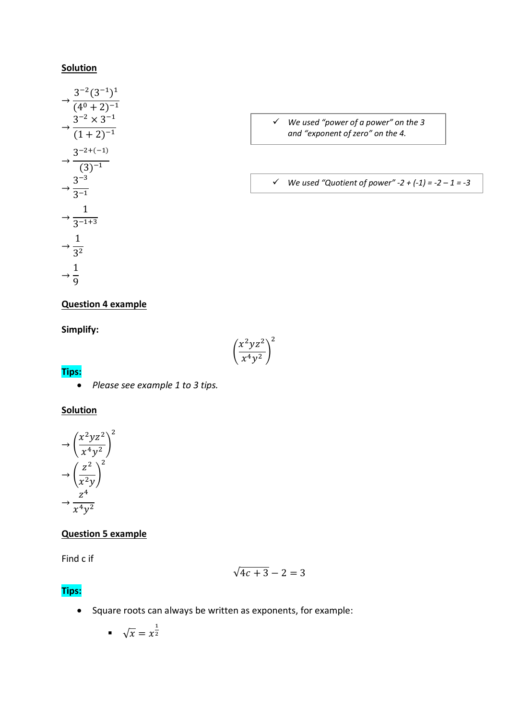#### **Solution**

$$
\rightarrow \frac{3^{-2}(3^{-1})^1}{(4^0 + 2)^{-1}}
$$

$$
\rightarrow \frac{3^{-2} \times 3^{-1}}{(1 + 2)^{-1}}
$$

$$
\rightarrow \frac{3^{-2+(-1)}}{(3)^{-1}}
$$

$$
\rightarrow \frac{3^{-3}}{3^{-1}}
$$

$$
\rightarrow \frac{1}{3^{-1+3}}
$$

$$
\rightarrow \frac{1}{3^2}
$$

$$
\rightarrow \frac{1}{9}
$$

- *We used "power of a power" on the 3 and "exponent of zero" on the 4.*
- *We used "Quotient of power" -2 + (-1) = -2 – 1 = -3*

## **Question 4 example**

**Simplify:**

## **Tips:**

*Please see example 1 to 3 tips.*

#### **Solution**



# **Question 5 example**

Find c if

$$
\sqrt{4c+3}-2=3
$$

## **Tips:**

• Square roots can always be written as exponents, for example:

(

 $x^2yz^2$  $\frac{y}{(x^4y^2)}$ 

2

$$
\bullet \quad \sqrt{x} = x^{\frac{1}{2}}
$$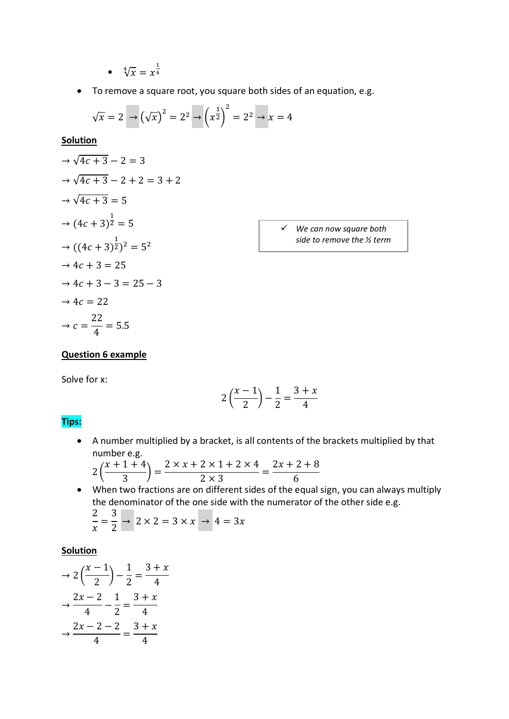$$
\bullet \quad \sqrt[4]{x} = x^{\frac{1}{4}}
$$

To remove a square root, you square both sides of an equation, e.g.

$$
\sqrt{x} = 2 \rightarrow (\sqrt{x})^2 = 2^2 \rightarrow (\sqrt{x^2})^2 = 2^2 \rightarrow x = 4
$$

**Solution**

$$
\Rightarrow \sqrt{4c+3} - 2 = 3
$$
  
\n
$$
\Rightarrow \sqrt{4c+3} - 2 + 2 = 3 + 2
$$
  
\n
$$
\Rightarrow \sqrt{4c+3} = 5
$$
  
\n
$$
\Rightarrow (4c+3)^{\frac{1}{2}} = 5
$$
  
\n
$$
\Rightarrow ((4c+3)^{\frac{1}{2}})^2 = 5^2
$$
  
\n
$$
\Rightarrow 4c+3 = 25
$$
  
\n
$$
\Rightarrow 4c+3 - 3 = 25 - 3
$$
  
\n
$$
\Rightarrow 4c = 22
$$
  
\n
$$
\Rightarrow c = \frac{22}{4} = 5.5
$$

 *We can now square both side to remove the ½ term*

#### **Question 6 example**

Solve for x:

$$
2\left(\frac{x-1}{2}\right) - \frac{1}{2} = \frac{3+x}{4}
$$

#### **Tips:**

 A number multiplied by a bracket, is all contents of the brackets multiplied by that number e.g.

$$
2\left(\frac{x+1+4}{3}\right) = \frac{2 \times x + 2 \times 1 + 2 \times 4}{2 \times 3} = \frac{2x+2+8}{6}
$$

 When two fractions are on different sides of the equal sign, you can always multiply the denominator of the one side with the numerator of the other side e.g. 2 3

$$
\frac{2}{x} = \frac{3}{2} \rightarrow 2 \times 2 = 3 \times x \rightarrow 4 = 3x
$$

$$
\Rightarrow 2\left(\frac{x-1}{2}\right) - \frac{1}{2} = \frac{3+x}{4}
$$

$$
\Rightarrow \frac{2x-2}{4} - \frac{1}{2} = \frac{3+x}{4}
$$

$$
\Rightarrow \frac{2x-2-2}{4} = \frac{3+x}{4}
$$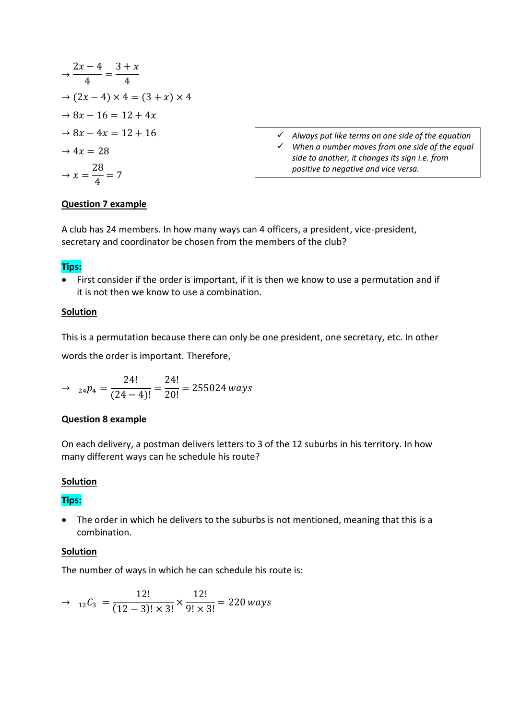$$
\frac{2x-4}{4} = \frac{3+x}{4}
$$
  
\n
$$
\Rightarrow (2x-4) \times 4 = (3+x) \times 4
$$
  
\n
$$
\Rightarrow 8x - 16 = 12 + 4x
$$
  
\n
$$
\Rightarrow 8x - 4x = 12 + 16
$$
  
\n
$$
\Rightarrow 4x = 28
$$
  
\n
$$
\Rightarrow x = \frac{28}{4} = 7
$$

 *Always put like terms on one side of the equation When a number moves from one side of the equal side to another, it changes its sign i.e. from positive to negative and vice versa.*

#### **Question 7 example**

A club has 24 members. In how many ways can 4 officers, a president, vice-president, secretary and coordinator be chosen from the members of the club?

#### **Tips:**

 First consider if the order is important, if it is then we know to use a permutation and if it is not then we know to use a combination.

#### **Solution**

This is a permutation because there can only be one president, one secretary, etc. In other words the order is important. Therefore,

$$
\rightarrow \ \ _{24}p_4 = \frac{24!}{(24-4)!} = \frac{24!}{20!} = 255024 \text{ ways}
$$

#### **Question 8 example**

On each delivery, a postman delivers letters to 3 of the 12 suburbs in his territory. In how many different ways can he schedule his route?

#### **Solution**

#### **Tips:**

 The order in which he delivers to the suburbs is not mentioned, meaning that this is a combination.

#### **Solution**

The number of ways in which he can schedule his route is:

$$
\rightarrow \ \ _{12}C_3 = \frac{12!}{(12-3)! \times 3!} \times \frac{12!}{9! \times 3!} = 220 \text{ ways}
$$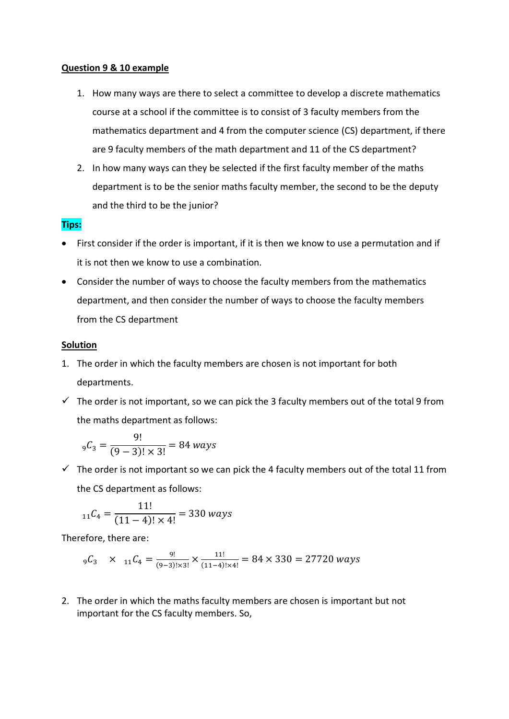#### **Question 9 & 10 example**

- 1. How many ways are there to select a committee to develop a discrete mathematics course at a school if the committee is to consist of 3 faculty members from the mathematics department and 4 from the computer science (CS) department, if there are 9 faculty members of the math department and 11 of the CS department?
- 2. In how many ways can they be selected if the first faculty member of the maths department is to be the senior maths faculty member, the second to be the deputy and the third to be the junior?

#### **Tips:**

- First consider if the order is important, if it is then we know to use a permutation and if it is not then we know to use a combination.
- Consider the number of ways to choose the faculty members from the mathematics department, and then consider the number of ways to choose the faculty members from the CS department

#### **Solution**

- 1. The order in which the faculty members are chosen is not important for both departments.
- $\checkmark$  The order is not important, so we can pick the 3 faculty members out of the total 9 from the maths department as follows:

$$
{}_{9}C_{3} = \frac{9!}{(9-3)! \times 3!} = 84 \text{ ways}
$$

 $\checkmark$  The order is not important so we can pick the 4 faculty members out of the total 11 from the CS department as follows:

$$
_{11}C_4 = \frac{11!}{(11-4)! \times 4!} = 330 \text{ ways}
$$

Therefore, there are:

$$
{}_{9}C_3 \times {}_{11}C_4 = \frac{9!}{(9-3)! \times 3!} \times \frac{11!}{(11-4)! \times 4!} = 84 \times 330 = 27720 \text{ ways}
$$

2. The order in which the maths faculty members are chosen is important but not important for the CS faculty members. So,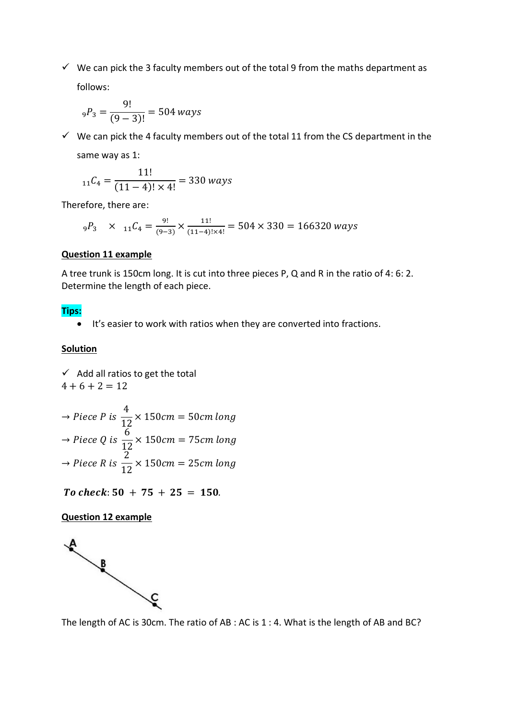$\checkmark$  We can pick the 3 faculty members out of the total 9 from the maths department as follows:

$$
_{9}P_3 = \frac{9!}{(9-3)!} = 504
$$
 ways

 $\checkmark$  We can pick the 4 faculty members out of the total 11 from the CS department in the same way as 1:

$$
{}_{11}C_4 = \frac{11!}{(11-4)! \times 4!} = 330 \text{ ways}
$$

Therefore, there are:

$$
_9P_3
$$
 x  $_{11}C_4 = \frac{9!}{(9-3)} \times \frac{11!}{(11-4)! \times 4!} = 504 \times 330 = 166320$  ways

#### **Question 11 example**

A tree trunk is 150cm long. It is cut into three pieces P, Q and R in the ratio of 4: 6: 2. Determine the length of each piece.

# **Tips:**

It's easier to work with ratios when they are converted into fractions.

#### **Solution**

 $\checkmark$  Add all ratios to get the total  $4 + 6 + 2 = 12$ 

⇒ *Piece P is* 
$$
\frac{4}{12}
$$
 × 150*cm* = 50*cm long*  
\n⇒ *Piece Q is*  $\frac{6}{12}$  × 150*cm* = 75*cm long*  
\n⇒ *Piece R is*  $\frac{2}{12}$  × 150*cm* = 25*cm long*

To check:  $50 + 75 + 25 = 150$ .

#### **Question 12 example**



The length of AC is 30cm. The ratio of AB : AC is 1 : 4. What is the length of AB and BC?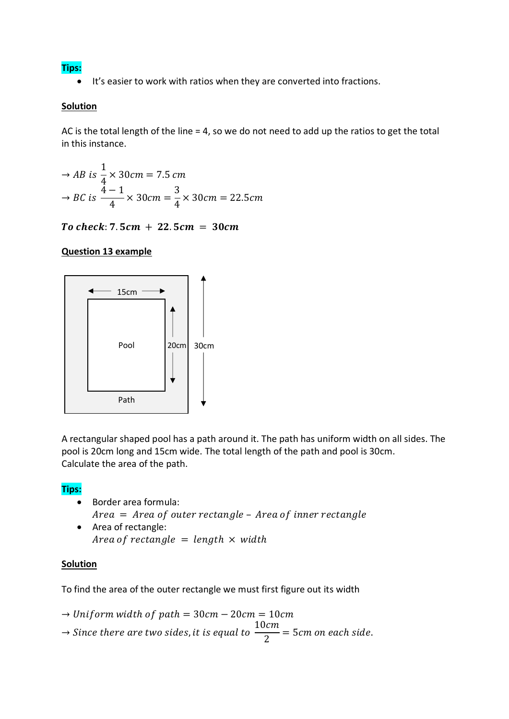**Tips:**

• It's easier to work with ratios when they are converted into fractions.

## **Solution**

AC is the total length of the line = 4, so we do not need to add up the ratios to get the total in this instance.

$$
\rightarrow AB \text{ is } \frac{1}{4} \times 30 \text{ cm} = 7.5 \text{ cm}
$$
  

$$
\rightarrow BC \text{ is } \frac{4-1}{4} \times 30 \text{ cm} = \frac{3}{4} \times 30 \text{ cm} = 22.5 \text{ cm}
$$

To check:  $7.5cm + 22.5cm = 30cm$ 

# **Question 13 example**



A rectangular shaped pool has a path around it. The path has uniform width on all sides. The pool is 20cm long and 15cm wide. The total length of the path and pool is 30cm. Calculate the area of the path.

## **Tips:**

- Border area formula:  $Area = Area of outer rectangle - Area of inner rectangle$
- Area of rectangle: Area of rectangle = length  $\times$  width

## **Solution**

To find the area of the outer rectangle we must first figure out its width

- $\rightarrow$  Uniform width of path = 30 cm 20 cm = 10 cm
- $\rightarrow$  Since there are two sides, it is equal to 10cm  $\frac{\partial m}{\partial z}$  = 5cm on each side.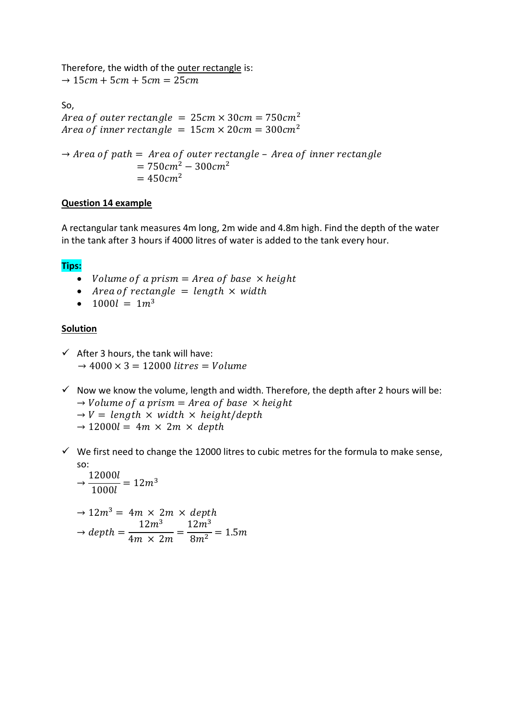Therefore, the width of the outer rectangle is:

 $\rightarrow$  15 $cm + 5cm + 5cm = 25cm$ 

So, Area of outer rectangle =  $25 cm \times 30 cm = 750 cm^2$ Area of inner rectangle =  $15 cm \times 20 cm = 300 cm^2$  $\rightarrow$  Area of path = Area of outer rectangle - Area of inner rectangle  $= 750 cm<sup>2</sup> - 300 cm<sup>2</sup>$  $= 450 cm<sup>2</sup>$ 

#### **Question 14 example**

A rectangular tank measures 4m long, 2m wide and 4.8m high. Find the depth of the water in the tank after 3 hours if 4000 litres of water is added to the tank every hour.

## **Tips:**

- Volume of a prism =  $Area of base \times height$
- Area of rectangle  $=$  length  $\times$  width
- $1000l = 1m^3$

- $\checkmark$  After 3 hours, the tank will have:  $\rightarrow$  4000  $\times$  3 = 12000 litres = Volume
- $\checkmark$  Now we know the volume, length and width. Therefore, the depth after 2 hours will be:  $\rightarrow$  *Volume of a prism = Area of base*  $\times$  *height* 
	- $\rightarrow$  V = length  $\times$  width  $\times$  height/depth
	- $\rightarrow$  12000l = 4m  $\times$  2m  $\times$  depth
- $\checkmark$  We first need to change the 12000 litres to cubic metres for the formula to make sense, so:

$$
\Rightarrow \frac{12000l}{1000l} = 12m^3
$$
  

$$
\Rightarrow 12m^3 = 4m \times 2m \times depth
$$
  

$$
\Rightarrow depth = \frac{12m^3}{4m \times 2m} = \frac{12m^3}{8m^2} = 1.5m
$$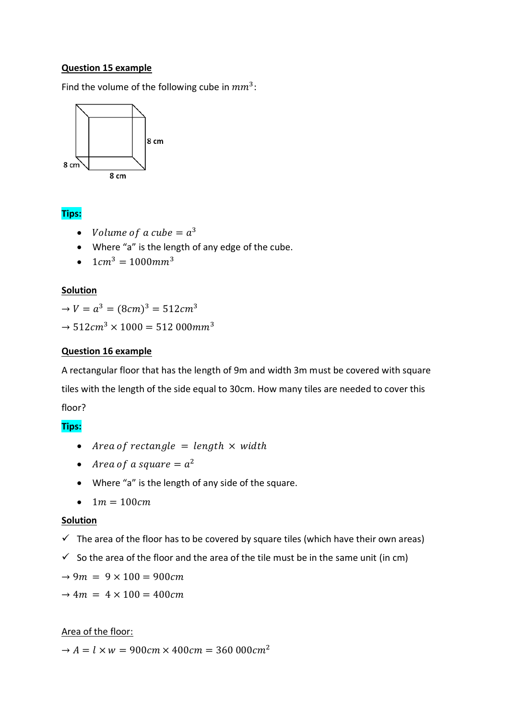#### **Question 15 example**

Find the volume of the following cube in  $mm^3$ :



# **Tips:**

- Volume of a cube  $= a^3$
- Where "a" is the length of any edge of the cube.
- $1cm^3 = 1000mm^3$

#### **Solution**

 $\rightarrow V = a^3 = (8cm)^3 = 512cm^3$ 

 $\rightarrow$  512 $cm^3 \times 1000 = 512000$   $mm^3$ 

#### **Question 16 example**

A rectangular floor that has the length of 9m and width 3m must be covered with square tiles with the length of the side equal to 30cm. How many tiles are needed to cover this floor?

## **Tips:**

- Area of rectangle  $=$  length  $\times$  width
- Area of a square  $= a^2$
- Where "a" is the length of any side of the square.
- $1 m = 100 cm$

#### **Solution**

- $\checkmark$  The area of the floor has to be covered by square tiles (which have their own areas)
- $\checkmark$  So the area of the floor and the area of the tile must be in the same unit (in cm)
- $\rightarrow$  9 $m = 9 \times 100 = 900$ cm
- $\rightarrow 4m = 4 \times 100 = 400$  cm.

## Area of the floor:

 $\rightarrow A = l \times w = 900 \text{cm} \times 400 \text{cm} = 360000 \text{cm}^2$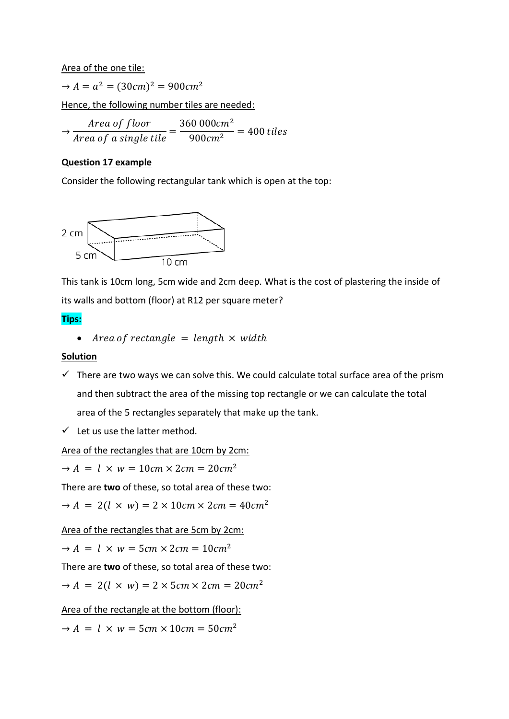Area of the one tile:

 $\rightarrow A = a^2 = (30cm)^2 = 900cm^2$ 

Hence, the following number tiles are needed:

 $\rightarrow$ Area of floor  $\frac{1}{Area\ of\ a\ single\ tile} =$ 360 000cm<sup>2</sup>  $\frac{1}{900cm^2}$  = 400 tiles

# **Question 17 example**

Consider the following rectangular tank which is open at the top:



This tank is 10cm long, 5cm wide and 2cm deep. What is the cost of plastering the inside of its walls and bottom (floor) at R12 per square meter?

# **Tips:**

• Area of rectangle  $=$  length  $\times$  width

## **Solution**

- $\checkmark$  There are two ways we can solve this. We could calculate total surface area of the prism and then subtract the area of the missing top rectangle or we can calculate the total area of the 5 rectangles separately that make up the tank.
- $\checkmark$  Let us use the latter method.

Area of the rectangles that are 10cm by 2cm:

 $\rightarrow A = l \times w = 10 \text{cm} \times 2 \text{cm} = 20 \text{cm}^2$ 

There are **two** of these, so total area of these two:

 $\rightarrow A = 2(l \times w) = 2 \times 10 \text{cm} \times 2 \text{cm} = 40 \text{cm}^2$ 

Area of the rectangles that are 5cm by 2cm:

 $\rightarrow A = l \times w = 5cm \times 2cm = 10cm^2$ 

There are **two** of these, so total area of these two:

 $\rightarrow A = 2(l \times w) = 2 \times 5cm \times 2cm = 20cm^2$ 

Area of the rectangle at the bottom (floor):

 $\rightarrow A = l \times w = 5cm \times 10cm = 50cm^2$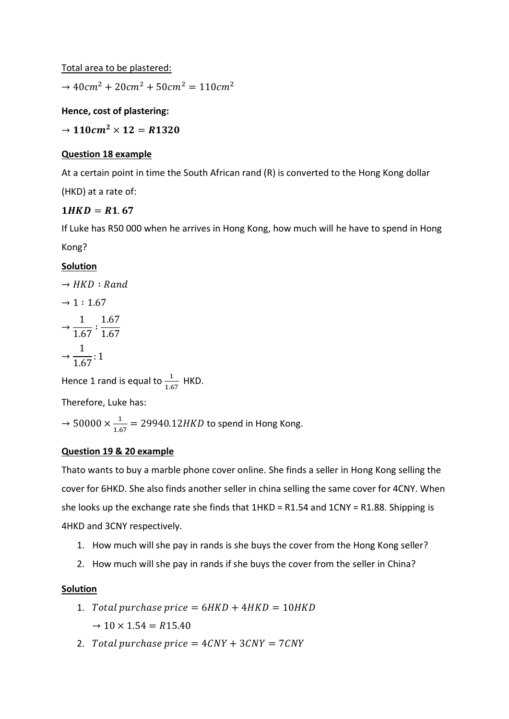Total area to be plastered:

 $\rightarrow$  40cm<sup>2</sup> + 20cm<sup>2</sup> + 50cm<sup>2</sup> = 110cm<sup>2</sup>

**Hence, cost of plastering:**

 $\rightarrow$  110 $cm^2 \times 12 = R1320$ 

## **Question 18 example**

At a certain point in time the South African rand (R) is converted to the Hong Kong dollar

(HKD) at a rate of:

# $1HKD = R1.67$

If Luke has R50 000 when he arrives in Hong Kong, how much will he have to spend in Hong Kong?

# **Solution**

 $\rightarrow HKD : Rand$  $\rightarrow$  1 : 1.67  $\rightarrow$ 1  $\frac{1}{1.67}$ : 1.67 1.67  $\rightarrow$ 1  $\frac{1}{1.67}$ : 1

Hence 1 rand is equal to  $\frac{1}{1.67}$  HKD.

Therefore, Luke has:

 $\rightarrow$  50000  $\times \frac{1}{16}$  $\frac{1}{1.67}$  = 29940.12HKD to spend in Hong Kong.

## **Question 19 & 20 example**

Thato wants to buy a marble phone cover online. She finds a seller in Hong Kong selling the cover for 6HKD. She also finds another seller in china selling the same cover for 4CNY. When she looks up the exchange rate she finds that  $1HKD = R1.54$  and  $1CNY = R1.88$ . Shipping is 4HKD and 3CNY respectively.

- 1. How much will she pay in rands is she buys the cover from the Hong Kong seller?
- 2. How much will she pay in rands if she buys the cover from the seller in China?

- 1. Total purchase price =  $6HKD + 4HKD = 10HKD$  $\rightarrow$  10  $\times$  1.54 = R15.40
- 2. Total purchase price  $= 4 CNY + 3 CNY = 7 CNY$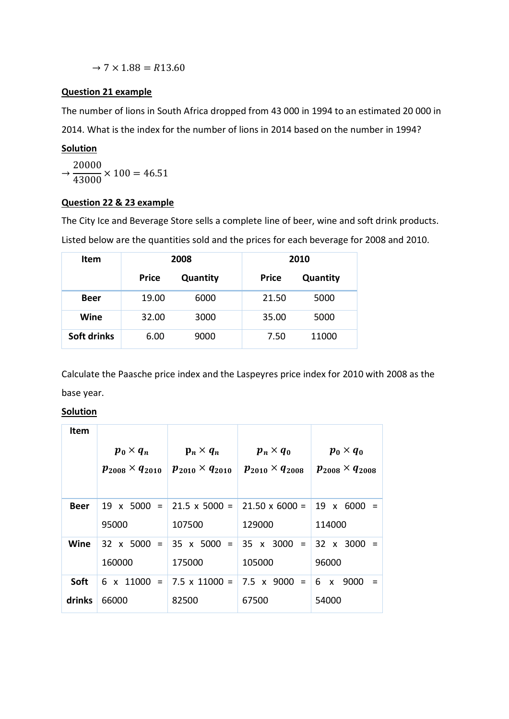$\rightarrow$  7  $\times$  1.88 = R13.60

# **Question 21 example**

The number of lions in South Africa dropped from 43 000 in 1994 to an estimated 20 000 in 2014. What is the index for the number of lions in 2014 based on the number in 1994?

# **Solution**

 $\rightarrow$ 20000  $\frac{1000}{43000} \times 100 = 46.51$ 

## **Question 22 & 23 example**

The City Ice and Beverage Store sells a complete line of beer, wine and soft drink products.

Listed below are the quantities sold and the prices for each beverage for 2008 and 2010.

| <b>Item</b> | 2008         |          | 2010         |          |
|-------------|--------------|----------|--------------|----------|
|             | <b>Price</b> | Quantity | <b>Price</b> | Quantity |
| <b>Beer</b> | 19.00        | 6000     | 21.50        | 5000     |
| Wine        | 32.00        | 3000     | 35.00        | 5000     |
| Soft drinks | 6.00         | 9000     | 7.50         | 11000    |

Calculate the Paasche price index and the Laspeyres price index for 2010 with 2008 as the base year.

| Item        |                            |                                       |                            |                            |
|-------------|----------------------------|---------------------------------------|----------------------------|----------------------------|
|             | $p_0 \times q_n$           | $\mathbf{p}_n \times \mathbf{q}_n$    | $p_n \times q_0$           | $p_0 \times q_0$           |
|             | $p_{2008} \times q_{2010}$ | $p_{2010} \times q_{2010}$            | $p_{2010} \times q_{2008}$ | $p_{2008} \times q_{2008}$ |
|             |                            |                                       |                            |                            |
| <b>Beer</b> |                            | 19 x 5000 = 21.5 x 5000 =             | $21.50 \times 6000 =$      | 19 x 6000                  |
|             | 95000                      | 107500                                | 129000                     | 114000                     |
| Wine        |                            | $32 \times 5000 = 35 \times 5000 = 1$ | $35 \times 3000 =$         | $32 \times 3000 =$         |
|             | 160000                     | 175000                                | 105000                     | 96000                      |
| <b>Soft</b> |                            | 6 x 11000 = 7.5 x 11000 = 7.5 x 9000  | $=$                        | 6 x 9000                   |
| drinks      | 66000                      | 82500                                 | 67500                      | 54000                      |